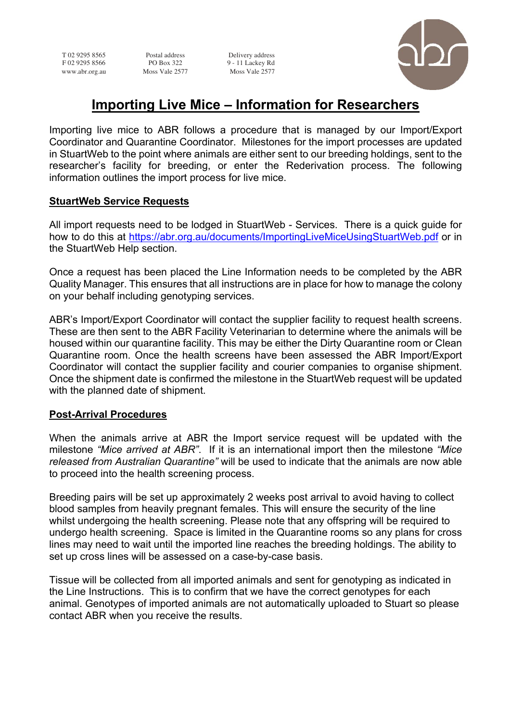T 02 9295 8565 Postal address Delivery address<br>F 02 9295 8566 PO Box 322 9 - 11 Lackey Rd  $9 - 11$  Lackey Rd www.abr.org.au Moss Vale 2577 Moss Vale 2577



# **Importing Live Mice – Information for Researchers**

Importing live mice to ABR follows a procedure that is managed by our Import/Export Coordinator and Quarantine Coordinator. Milestones for the import processes are updated in StuartWeb to the point where animals are either sent to our breeding holdings, sent to the researcher's facility for breeding, or enter the Rederivation process. The following information outlines the import process for live mice.

#### **StuartWeb Service Requests**

All import requests need to be lodged in StuartWeb - Services. There is a quick guide for how to do this at https://abr.org.au/documents/ImportingLiveMiceUsingStuartWeb.pdf or in the StuartWeb Help section.

Once a request has been placed the Line Information needs to be completed by the ABR Quality Manager. This ensures that all instructions are in place for how to manage the colony on your behalf including genotyping services.

ABR's Import/Export Coordinator will contact the supplier facility to request health screens. These are then sent to the ABR Facility Veterinarian to determine where the animals will be housed within our quarantine facility. This may be either the Dirty Quarantine room or Clean Quarantine room. Once the health screens have been assessed the ABR Import/Export Coordinator will contact the supplier facility and courier companies to organise shipment. Once the shipment date is confirmed the milestone in the StuartWeb request will be updated with the planned date of shipment.

### **Post-Arrival Procedures**

When the animals arrive at ABR the Import service request will be updated with the milestone *"Mice arrived at ABR"*. If it is an international import then the milestone *"Mice released from Australian Quarantine"* will be used to indicate that the animals are now able to proceed into the health screening process.

Breeding pairs will be set up approximately 2 weeks post arrival to avoid having to collect blood samples from heavily pregnant females. This will ensure the security of the line whilst undergoing the health screening. Please note that any offspring will be required to undergo health screening. Space is limited in the Quarantine rooms so any plans for cross lines may need to wait until the imported line reaches the breeding holdings. The ability to set up cross lines will be assessed on a case-by-case basis.

Tissue will be collected from all imported animals and sent for genotyping as indicated in the Line Instructions. This is to confirm that we have the correct genotypes for each animal. Genotypes of imported animals are not automatically uploaded to Stuart so please contact ABR when you receive the results.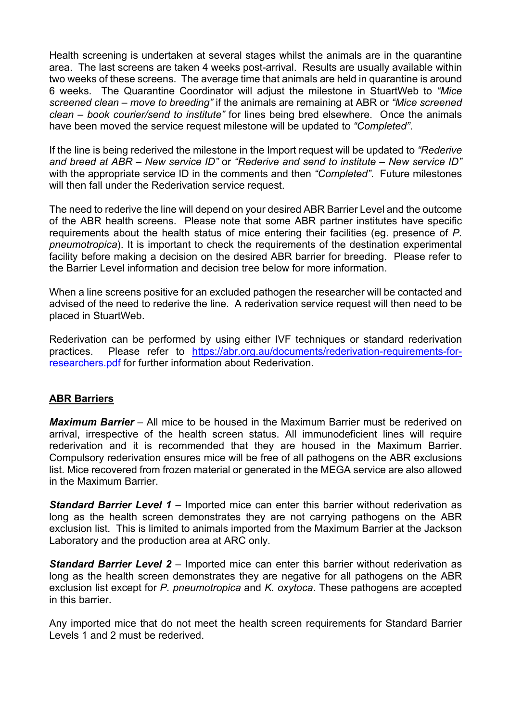Health screening is undertaken at several stages whilst the animals are in the quarantine area. The last screens are taken 4 weeks post-arrival. Results are usually available within two weeks of these screens. The average time that animals are held in quarantine is around 6 weeks. The Quarantine Coordinator will adjust the milestone in StuartWeb to *"Mice screened clean – move to breeding"* if the animals are remaining at ABR or *"Mice screened clean – book courier/send to institute"* for lines being bred elsewhere. Once the animals have been moved the service request milestone will be updated to *"Completed"*.

If the line is being rederived the milestone in the Import request will be updated to *"Rederive and breed at ABR – New service ID"* or *"Rederive and send to institute – New service ID"* with the appropriate service ID in the comments and then *"Completed"*. Future milestones will then fall under the Rederivation service request.

The need to rederive the line will depend on your desired ABR Barrier Level and the outcome of the ABR health screens. Please note that some ABR partner institutes have specific requirements about the health status of mice entering their facilities (eg. presence of *P. pneumotropica*). It is important to check the requirements of the destination experimental facility before making a decision on the desired ABR barrier for breeding. Please refer to the Barrier Level information and decision tree below for more information.

When a line screens positive for an excluded pathogen the researcher will be contacted and advised of the need to rederive the line. A rederivation service request will then need to be placed in StuartWeb.

Rederivation can be performed by using either IVF techniques or standard rederivation practices. Please refer to https://abr.org.au/documents/rederivation-requirements-forresearchers.pdf for further information about Rederivation.

### **ABR Barriers**

*Maximum Barrier* – All mice to be housed in the Maximum Barrier must be rederived on arrival, irrespective of the health screen status. All immunodeficient lines will require rederivation and it is recommended that they are housed in the Maximum Barrier. Compulsory rederivation ensures mice will be free of all pathogens on the ABR exclusions list. Mice recovered from frozen material or generated in the MEGA service are also allowed in the Maximum Barrier.

*Standard Barrier Level 1* – Imported mice can enter this barrier without rederivation as long as the health screen demonstrates they are not carrying pathogens on the ABR exclusion list. This is limited to animals imported from the Maximum Barrier at the Jackson Laboratory and the production area at ARC only.

**Standard Barrier Level 2** – Imported mice can enter this barrier without rederivation as long as the health screen demonstrates they are negative for all pathogens on the ABR exclusion list except for *P. pneumotropica* and *K. oxytoca*. These pathogens are accepted in this barrier.

Any imported mice that do not meet the health screen requirements for Standard Barrier Levels 1 and 2 must be rederived.